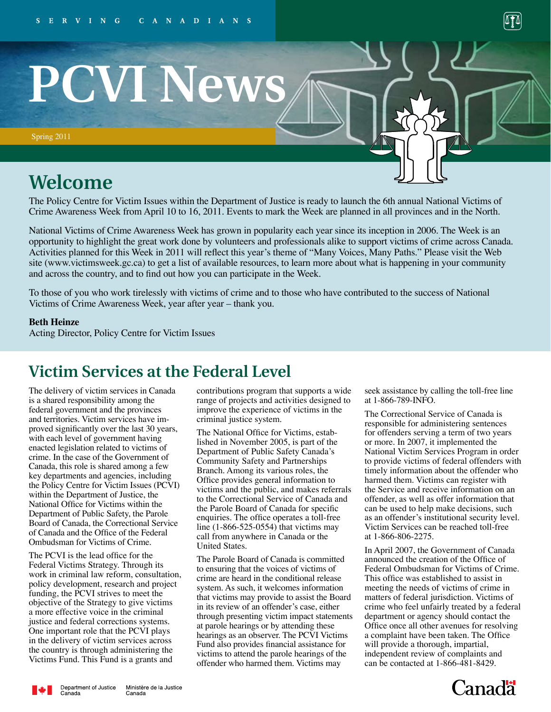

# **PCVI News**

Spring 2011

## **Welcome**

The Policy Centre for Victim Issues within the Department of Justice is ready to launch the 6th annual National Victims of Crime Awareness Week from April 10 to 16, 2011. Events to mark the Week are planned in all provinces and in the North.

National Victims of Crime Awareness Week has grown in popularity each year since its inception in 2006. The Week is an opportunity to highlight the great work done by volunteers and professionals alike to support victims of crime across Canada. Activities planned for this Week in 2011 will reflect this year's theme of "Many Voices, Many Paths." Please visit the Web site (www.victimsweek.gc.ca) to get a list of available resources, to learn more about what is happening in your community and across the country, and to find out how you can participate in the Week.

To those of you who work tirelessly with victims of crime and to those who have contributed to the success of National Victims of Crime Awareness Week, year after year – thank you.

#### **Beth Heinze**

Acting Director, Policy Centre for Victim Issues

## **Victim Services at the Federal Level**

The delivery of victim services in Canada is a shared responsibility among the federal government and the provinces and territories. Victim services have improved significantly over the last 30 years, with each level of government having enacted legislation related to victims of crime. In the case of the Government of Canada, this role is shared among a few key departments and agencies, including the Policy Centre for Victim Issues (PCVI) within the Department of Justice, the National Office for Victims within the Department of Public Safety, the Parole Board of Canada, the Correctional Service of Canada and the Office of the Federal Ombudsman for Victims of Crime.

The PCVI is the lead office for the Federal Victims Strategy. Through its work in criminal law reform, consultation, policy development, research and project funding, the PCVI strives to meet the objective of the Strategy to give victims a more effective voice in the criminal justice and federal corrections systems. One important role that the PCVI plays in the delivery of victim services across the country is through administering the Victims Fund. This Fund is a grants and

contributions program that supports a wide range of projects and activities designed to improve the experience of victims in the criminal justice system.

The National Office for Victims, established in November 2005, is part of the Department of Public Safety Canada's Community Safety and Partnerships Branch. Among its various roles, the Office provides general information to victims and the public, and makes referrals to the Correctional Service of Canada and the Parole Board of Canada for specific enquiries. The office operates a toll-free line (1-866-525-0554) that victims may call from anywhere in Canada or the United States.

The Parole Board of Canada is committed to ensuring that the voices of victims of crime are heard in the conditional release system. As such, it welcomes information that victims may provide to assist the Board in its review of an offender's case, either through presenting victim impact statements at parole hearings or by attending these hearings as an observer. The PCVI Victims Fund also provides financial assistance for victims to attend the parole hearings of the offender who harmed them. Victims may

seek assistance by calling the toll-free line at 1-866-789-INFO.

The Correctional Service of Canada is responsible for administering sentences for offenders serving a term of two years or more. In 2007, it implemented the National Victim Services Program in order to provide victims of federal offenders with timely information about the offender who harmed them. Victims can register with the Service and receive information on an offender, as well as offer information that can be used to help make decisions, such as an offender's institutional security level. Victim Services can be reached toll-free at 1-866-806-2275.

In April 2007, the Government of Canada announced the creation of the Office of Federal Ombudsman for Victims of Crime. This office was established to assist in meeting the needs of victims of crime in matters of federal jurisdiction. Victims of crime who feel unfairly treated by a federal department or agency should contact the Office once all other avenues for resolving a complaint have been taken. The Office will provide a thorough, impartial, independent review of complaints and can be contacted at 1-866-481-8429.